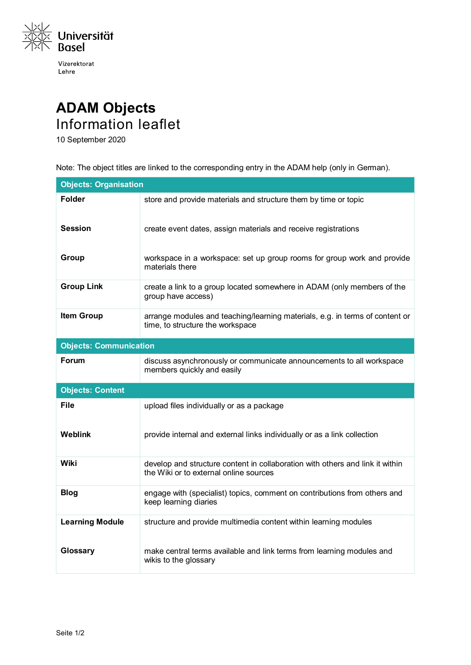

Vizerektorat Lehre

## **ADAM Objects** Information leaflet

10 September 2020

Note: The object titles are linked to the corresponding entry in the ADAM help (only in German).

| <b>Objects: Organisation</b>  |                                                                                                                         |
|-------------------------------|-------------------------------------------------------------------------------------------------------------------------|
| <b>Folder</b>                 | store and provide materials and structure them by time or topic                                                         |
| <b>Session</b>                | create event dates, assign materials and receive registrations                                                          |
| <b>Group</b>                  | workspace in a workspace: set up group rooms for group work and provide<br>materials there                              |
| <b>Group Link</b>             | create a link to a group located somewhere in ADAM (only members of the<br>group have access)                           |
| <b>Item Group</b>             | arrange modules and teaching/learning materials, e.g. in terms of content or<br>time, to structure the workspace        |
| <b>Objects: Communication</b> |                                                                                                                         |
| Forum                         | discuss asynchronously or communicate announcements to all workspace<br>members quickly and easily                      |
| <b>Objects: Content</b>       |                                                                                                                         |
| File                          | upload files individually or as a package                                                                               |
| <b>Weblink</b>                | provide internal and external links individually or as a link collection                                                |
| Wiki                          | develop and structure content in collaboration with others and link it within<br>the Wiki or to external online sources |
| <b>Blog</b>                   | engage with (specialist) topics, comment on contributions from others and<br>keep learning diaries                      |
| <b>Learning Module</b>        | structure and provide multimedia content within learning modules                                                        |
| Glossary                      | make central terms available and link terms from learning modules and<br>wikis to the glossary                          |